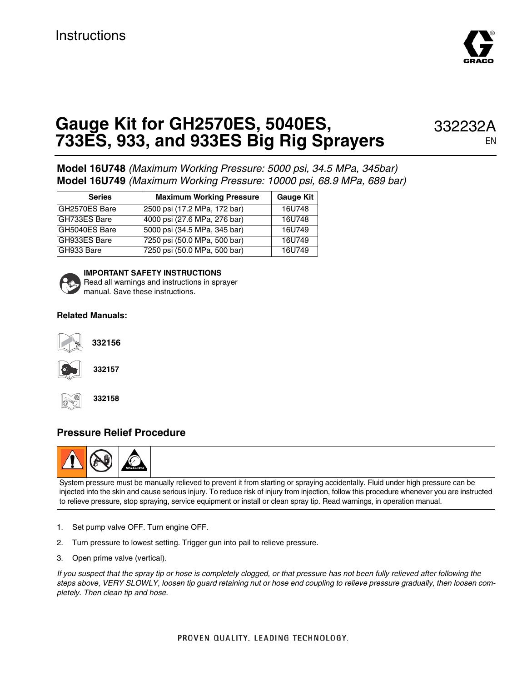

## **Gauge Kit for GH2570ES, 5040ES, 733ES, 933, and 933ES Big Rig Sprayers**

332232A

**Model 16U748** (Maximum Working Pressure: 5000 psi, 34.5 MPa, 345bar) **Model 16U749** (Maximum Working Pressure: 10000 psi, 68.9 MPa, 689 bar)

| <b>Series</b> | <b>Maximum Working Pressure</b> | <b>Gauge Kit</b> |
|---------------|---------------------------------|------------------|
| GH2570ES Bare | 2500 psi (17.2 MPa, 172 bar)    | 16U748           |
| GH733ES Bare  | 4000 psi (27.6 MPa, 276 bar)    | 16U748           |
| GH5040ES Bare | 5000 psi (34.5 MPa, 345 bar)    | 16U749           |
| GH933ES Bare  | 7250 psi (50.0 MPa, 500 bar)    | 16U749           |
| GH933 Bare    | 7250 psi (50.0 MPa, 500 bar)    | 16U749           |



**IMPORTANT SAFETY INSTRUCTIONS** Read all warnings and instructions in sprayer manual. Save these instructions.

#### **Related Manuals:**



**332156**



**332157**



**332158**

#### **Pressure Relief Procedure**



System pressure must be manually relieved to prevent it from starting or spraying accidentally. Fluid under high pressure can be injected into the skin and cause serious injury. To reduce risk of injury from injection, follow this procedure whenever you are instructed to relieve pressure, stop spraying, service equipment or install or clean spray tip. Read warnings, in operation manual.

- 1. Set pump valve OFF. Turn engine OFF.
- 2. Turn pressure to lowest setting. Trigger gun into pail to relieve pressure.
- 3. Open prime valve (vertical).

If you suspect that the spray tip or hose is completely clogged, or that pressure has not been fully relieved after following the steps above, VERY SLOWLY, loosen tip guard retaining nut or hose end coupling to relieve pressure gradually, then loosen completely. Then clean tip and hose.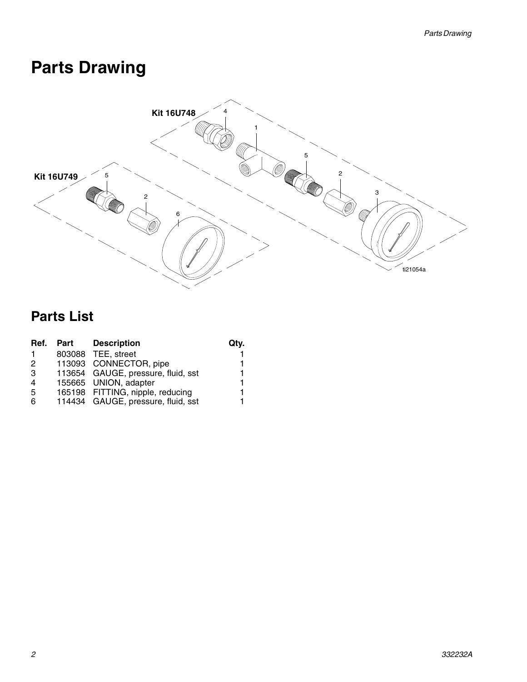# **Parts Drawing**



### **Parts List**

| Ref.          | Part | <b>Description</b>                 | Qtv. |
|---------------|------|------------------------------------|------|
|               |      | 803088 TEE, street                 |      |
| $\mathcal{P}$ |      | 113093 CONNECTOR, pipe             |      |
| 3             |      | 113654 GAUGE, pressure, fluid, sst |      |
| 4             |      | 155665 UNION, adapter              |      |
| -5            |      | 165198 FITTING, nipple, reducing   |      |
| 6             |      | 114434 GAUGE, pressure, fluid, sst |      |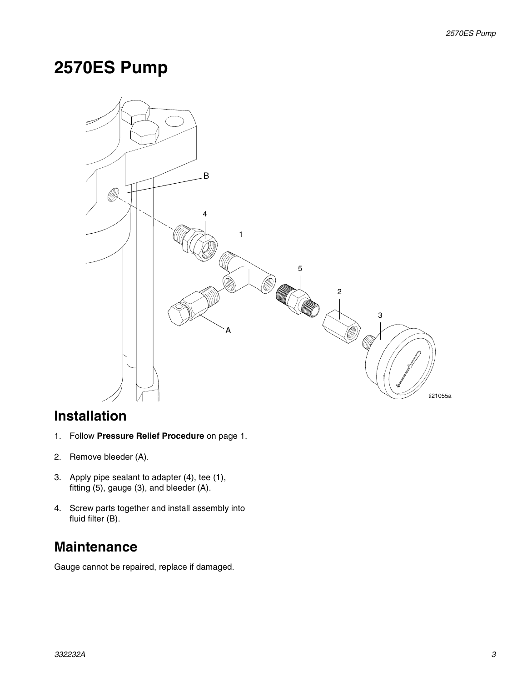### **2570ES Pump**



#### **Installation**

- 1. Follow **Pressure Relief Procedure** on page 1.
- 2. Remove bleeder (A).
- 3. Apply pipe sealant to adapter (4), tee (1), fitting (5), gauge (3), and bleeder (A).
- 4. Screw parts together and install assembly into fluid filter (B).

### **Maintenance**

Gauge cannot be repaired, replace if damaged.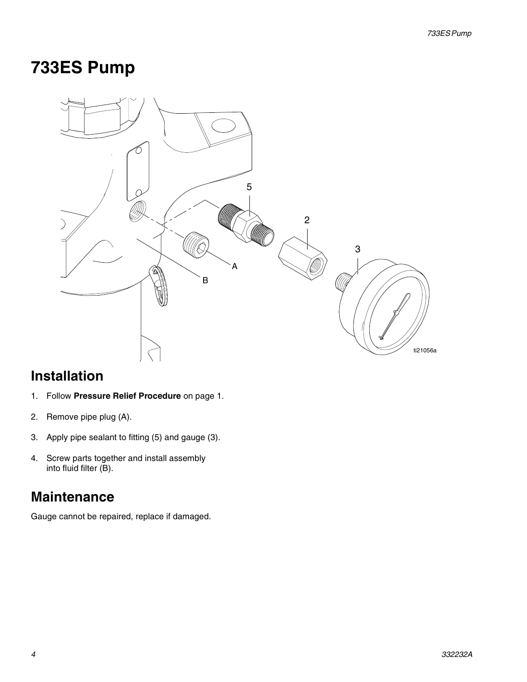## **733ES Pump**



### **Installation**

- 1. Follow **Pressure Relief Procedure** on page 1.
- 2. Remove pipe plug (A).
- 3. Apply pipe sealant to fitting (5) and gauge (3).
- 4. Screw parts together and install assembly into fluid filter (B).

#### **Maintenance**

Gauge cannot be repaired, replace if damaged.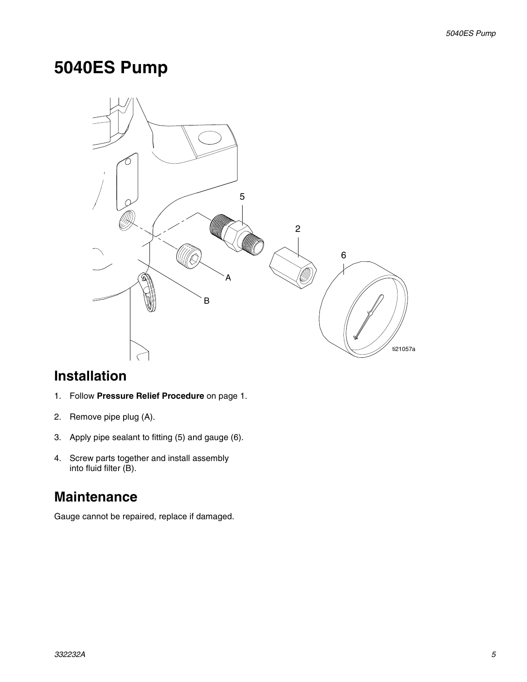## **5040ES Pump**



#### **Installation**

- 1. Follow **Pressure Relief Procedure** on page 1.
- 2. Remove pipe plug (A).
- 3. Apply pipe sealant to fitting (5) and gauge (6).
- 4. Screw parts together and install assembly into fluid filter (B).

#### **Maintenance**

Gauge cannot be repaired, replace if damaged.